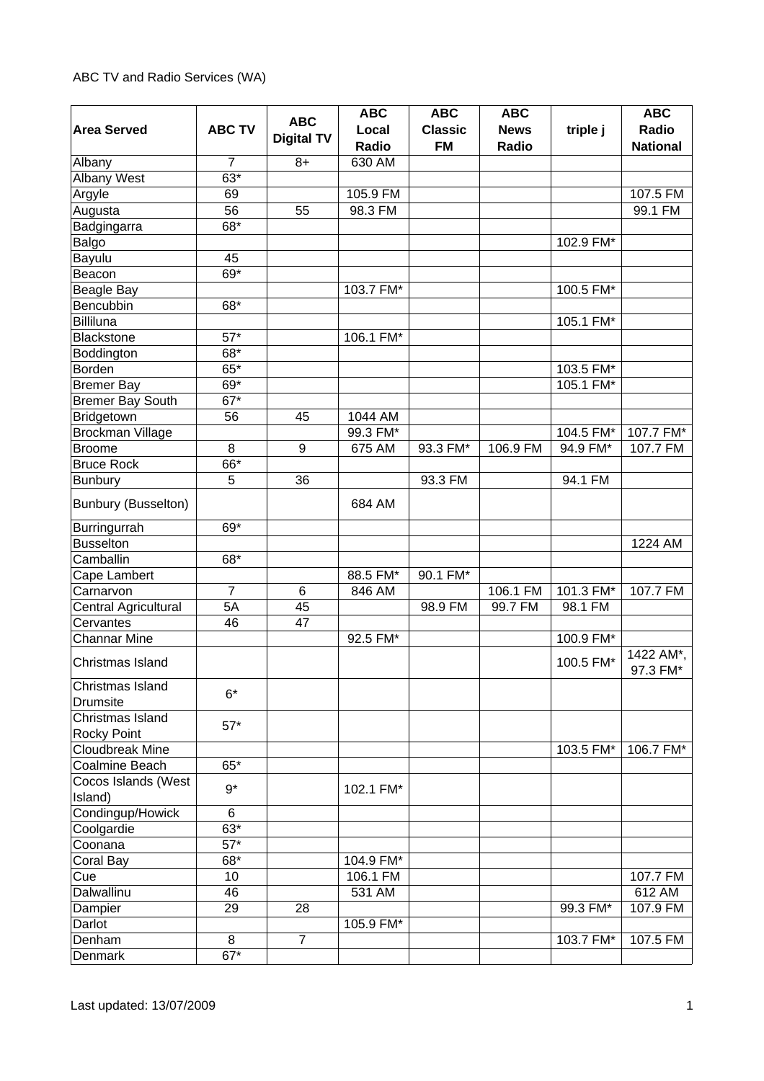|                              |                | <b>ABC</b>        | <b>ABC</b>     | <b>ABC</b>                  | <b>ABC</b>           |           | <b>ABC</b>               |
|------------------------------|----------------|-------------------|----------------|-----------------------------|----------------------|-----------|--------------------------|
| <b>Area Served</b>           | <b>ABC TV</b>  | <b>Digital TV</b> | Local<br>Radio | <b>Classic</b><br><b>FM</b> | <b>News</b><br>Radio | triple j  | Radio<br><b>National</b> |
| Albany                       | $\overline{7}$ | $8+$              | 630 AM         |                             |                      |           |                          |
| <b>Albany West</b>           | 63*            |                   |                |                             |                      |           |                          |
| Argyle                       | 69             |                   | 105.9 FM       |                             |                      |           | 107.5 FM                 |
| Augusta                      | 56             | 55                | 98.3 FM        |                             |                      |           | 99.1 FM                  |
| Badgingarra                  | 68*            |                   |                |                             |                      |           |                          |
| Balgo                        |                |                   |                |                             |                      | 102.9 FM* |                          |
| Bayulu                       | 45             |                   |                |                             |                      |           |                          |
| Beacon                       | 69*            |                   |                |                             |                      |           |                          |
| <b>Beagle Bay</b>            |                |                   | 103.7 FM*      |                             |                      | 100.5 FM* |                          |
| Bencubbin                    | 68*            |                   |                |                             |                      |           |                          |
| <b>Billiluna</b>             |                |                   |                |                             |                      | 105.1 FM* |                          |
| <b>Blackstone</b>            | $57*$          |                   | 106.1 FM*      |                             |                      |           |                          |
| Boddington                   | 68*            |                   |                |                             |                      |           |                          |
| Borden                       | $65*$          |                   |                |                             |                      | 103.5 FM* |                          |
| <b>Bremer Bay</b>            | 69*            |                   |                |                             |                      | 105.1 FM* |                          |
| <b>Bremer Bay South</b>      | $67*$          |                   |                |                             |                      |           |                          |
| Bridgetown                   | 56             | 45                | 1044 AM        |                             |                      |           |                          |
| Brockman Village             |                |                   | 99.3 FM*       |                             |                      | 104.5 FM* | 107.7 FM*                |
| <b>Broome</b>                | 8              | 9                 | 675 AM         | 93.3 FM*                    | 106.9 FM             | 94.9 FM*  | 107.7 FM                 |
| <b>Bruce Rock</b>            | 66*            |                   |                |                             |                      |           |                          |
| <b>Bunbury</b>               | 5              | 36                |                | 93.3 FM                     |                      | 94.1 FM   |                          |
|                              |                |                   |                |                             |                      |           |                          |
| <b>Bunbury (Busselton)</b>   |                |                   | 684 AM         |                             |                      |           |                          |
| Burringurrah                 | 69*            |                   |                |                             |                      |           |                          |
| <b>Busselton</b>             |                |                   |                |                             |                      |           | 1224 AM                  |
| Camballin                    | 68*            |                   |                |                             |                      |           |                          |
| Cape Lambert                 |                |                   | 88.5 FM*       | 90.1 FM*                    |                      |           |                          |
| Carnarvon                    | $\overline{7}$ | 6                 | 846 AM         |                             | 106.1 FM             | 101.3 FM* | 107.7 FM                 |
| Central Agricultural         | 5A             | 45                |                | 98.9 FM                     | 99.7 FM              | 98.1 FM   |                          |
| Cervantes                    | 46             | 47                |                |                             |                      |           |                          |
| <b>Channar Mine</b>          |                |                   | 92.5 FM*       |                             |                      | 100.9 FM* |                          |
| Christmas Island             |                |                   |                |                             |                      | 100.5 FM* | 1422 AM*,<br>97.3 FM*    |
| Christmas Island<br>Drumsite | $6*$           |                   |                |                             |                      |           |                          |
| Christmas Island             |                |                   |                |                             |                      |           |                          |
| <b>Rocky Point</b>           | $57*$          |                   |                |                             |                      |           |                          |
| Cloudbreak Mine              |                |                   |                |                             |                      | 103.5 FM* | 106.7 FM*                |
| Coalmine Beach               | 65*            |                   |                |                             |                      |           |                          |
| Cocos Islands (West          |                |                   |                |                             |                      |           |                          |
| Island)                      | $9*$           |                   | 102.1 FM*      |                             |                      |           |                          |
| Condingup/Howick             | 6              |                   |                |                             |                      |           |                          |
| Coolgardie                   | $63*$          |                   |                |                             |                      |           |                          |
| Coonana                      | $57*$          |                   |                |                             |                      |           |                          |
| Coral Bay                    | 68*            |                   | 104.9 FM*      |                             |                      |           |                          |
| Cue                          | 10             |                   | 106.1 FM       |                             |                      |           | 107.7 FM                 |
| Dalwallinu                   | 46             |                   | 531 AM         |                             |                      |           | 612 AM                   |
| Dampier                      | 29             | 28                |                |                             |                      | 99.3 FM*  | 107.9 FM                 |
| Darlot                       |                |                   | 105.9 FM*      |                             |                      |           |                          |
| Denham                       | 8              | $\overline{7}$    |                |                             |                      | 103.7 FM* | 107.5 FM                 |
| Denmark                      | $67*$          |                   |                |                             |                      |           |                          |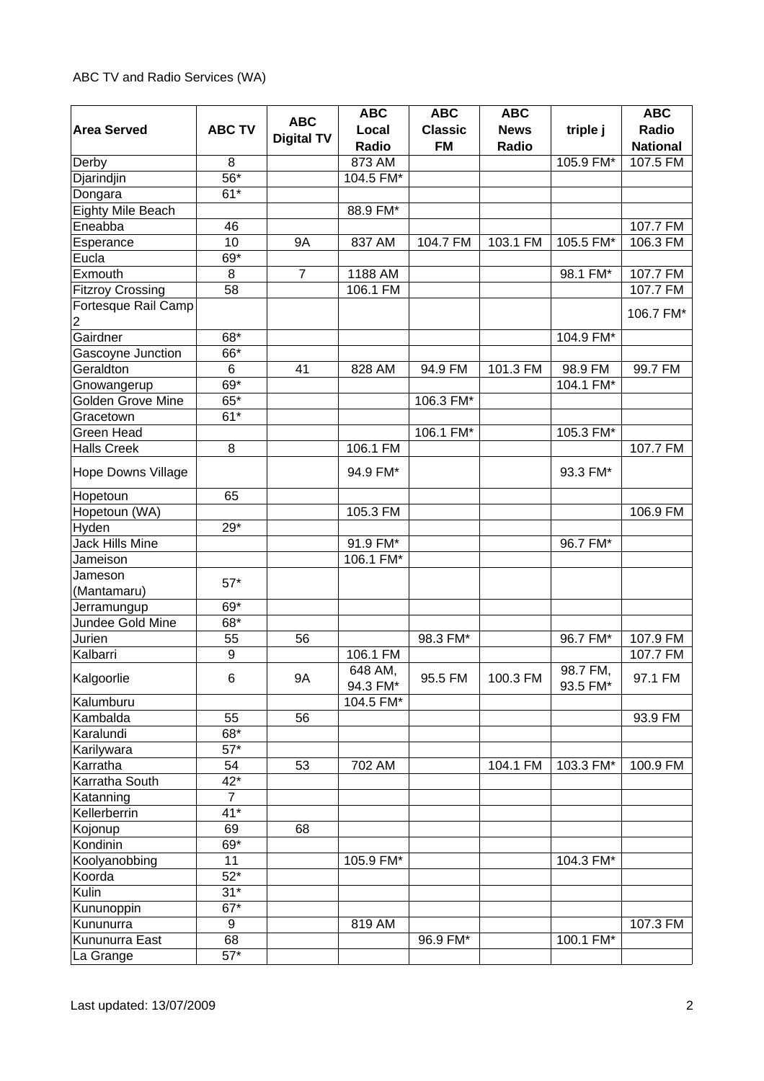|                           |                   |                   | <b>ABC</b> | <b>ABC</b>     | <b>ABC</b>  |           | <b>ABC</b>      |
|---------------------------|-------------------|-------------------|------------|----------------|-------------|-----------|-----------------|
| <b>Area Served</b>        | <b>ABC TV</b>     | <b>ABC</b>        | Local      | <b>Classic</b> | <b>News</b> | triple j  | Radio           |
|                           |                   | <b>Digital TV</b> | Radio      | <b>FM</b>      | Radio       |           | <b>National</b> |
| Derby                     | 8                 |                   | 873 AM     |                |             | 105.9 FM* | 107.5 FM        |
| Djarindjin                | $\overline{56}^*$ |                   | 104.5 FM*  |                |             |           |                 |
| Dongara                   | $61*$             |                   |            |                |             |           |                 |
| Eighty Mile Beach         |                   |                   | 88.9 FM*   |                |             |           |                 |
| Eneabba                   | 46                |                   |            |                |             |           | 107.7 FM        |
| Esperance                 | 10                | <b>9A</b>         | 837 AM     | 104.7 FM       | 103.1 FM    | 105.5 FM* | 106.3 FM        |
| Eucla                     | 69*               |                   |            |                |             |           |                 |
| Exmouth                   | 8                 | $\overline{7}$    | 1188 AM    |                |             | 98.1 FM*  | 107.7 FM        |
| <b>Fitzroy Crossing</b>   | 58                |                   | 106.1 FM   |                |             |           | 107.7 FM        |
| Fortesque Rail Camp       |                   |                   |            |                |             |           |                 |
| $\overline{c}$            |                   |                   |            |                |             |           | 106.7 FM*       |
| Gairdner                  | 68*               |                   |            |                |             | 104.9 FM* |                 |
| Gascoyne Junction         | 66*               |                   |            |                |             |           |                 |
| Geraldton                 | $6\phantom{1}$    | 41                | 828 AM     | 94.9 FM        | 101.3 FM    | 98.9 FM   | 99.7 FM         |
| Gnowangerup               | 69*               |                   |            |                |             | 104.1 FM* |                 |
| <b>Golden Grove Mine</b>  | 65*               |                   |            | 106.3 FM*      |             |           |                 |
| Gracetown                 | $61*$             |                   |            |                |             |           |                 |
| Green Head                |                   |                   |            | 106.1 FM*      |             | 105.3 FM* |                 |
| <b>Halls Creek</b>        | 8                 |                   | 106.1 FM   |                |             |           | 107.7 FM        |
|                           |                   |                   |            |                |             |           |                 |
| <b>Hope Downs Village</b> |                   |                   | 94.9 FM*   |                |             | 93.3 FM*  |                 |
| Hopetoun                  | 65                |                   |            |                |             |           |                 |
| Hopetoun (WA)             |                   |                   | 105.3 FM   |                |             |           | 106.9 FM        |
| Hyden                     | $29*$             |                   |            |                |             |           |                 |
| Jack Hills Mine           |                   |                   | 91.9 FM*   |                |             | 96.7 FM*  |                 |
| Jameison                  |                   |                   | 106.1 FM*  |                |             |           |                 |
| Jameson                   |                   |                   |            |                |             |           |                 |
| (Mantamaru)               | $57*$             |                   |            |                |             |           |                 |
| Jerramungup               | 69*               |                   |            |                |             |           |                 |
| Jundee Gold Mine          | 68*               |                   |            |                |             |           |                 |
| Jurien                    | 55                | 56                |            | 98.3 FM*       |             | 96.7 FM*  | 107.9 FM        |
| Kalbarri                  | 9                 |                   | 106.1 FM   |                |             |           | 107.7 FM        |
|                           |                   |                   | 648 AM,    |                |             | 98.7 FM,  |                 |
| Kalgoorlie                | $\,6$             | <b>9A</b>         | 94.3 FM*   | 95.5 FM        | 100.3 FM    | 93.5 FM*  | 97.1 FM         |
| Kalumburu                 |                   |                   | 104.5 FM*  |                |             |           |                 |
| Kambalda                  | 55                | 56                |            |                |             |           | 93.9 FM         |
| Karalundi                 | $68*$             |                   |            |                |             |           |                 |
| Karilywara                | $57*$             |                   |            |                |             |           |                 |
| Karratha                  | 54                | 53                | 702 AM     |                | 104.1 FM    | 103.3 FM* | 100.9 FM        |
| Karratha South            | $42*$             |                   |            |                |             |           |                 |
| Katanning                 | $\overline{7}$    |                   |            |                |             |           |                 |
| Kellerberrin              | $41*$             |                   |            |                |             |           |                 |
| Kojonup                   | 69                | 68                |            |                |             |           |                 |
| Kondinin                  | 69*               |                   |            |                |             |           |                 |
| Koolyanobbing             | 11                |                   | 105.9 FM*  |                |             | 104.3 FM* |                 |
| Koorda                    | $52*$             |                   |            |                |             |           |                 |
| Kulin                     | $31*$             |                   |            |                |             |           |                 |
| Kununoppin                | $67*$             |                   |            |                |             |           |                 |
| Kununurra                 | 9                 |                   | 819 AM     |                |             |           | 107.3 FM        |
| Kununurra East            | 68                |                   |            | 96.9 FM*       |             | 100.1 FM* |                 |
| La Grange                 | $57*$             |                   |            |                |             |           |                 |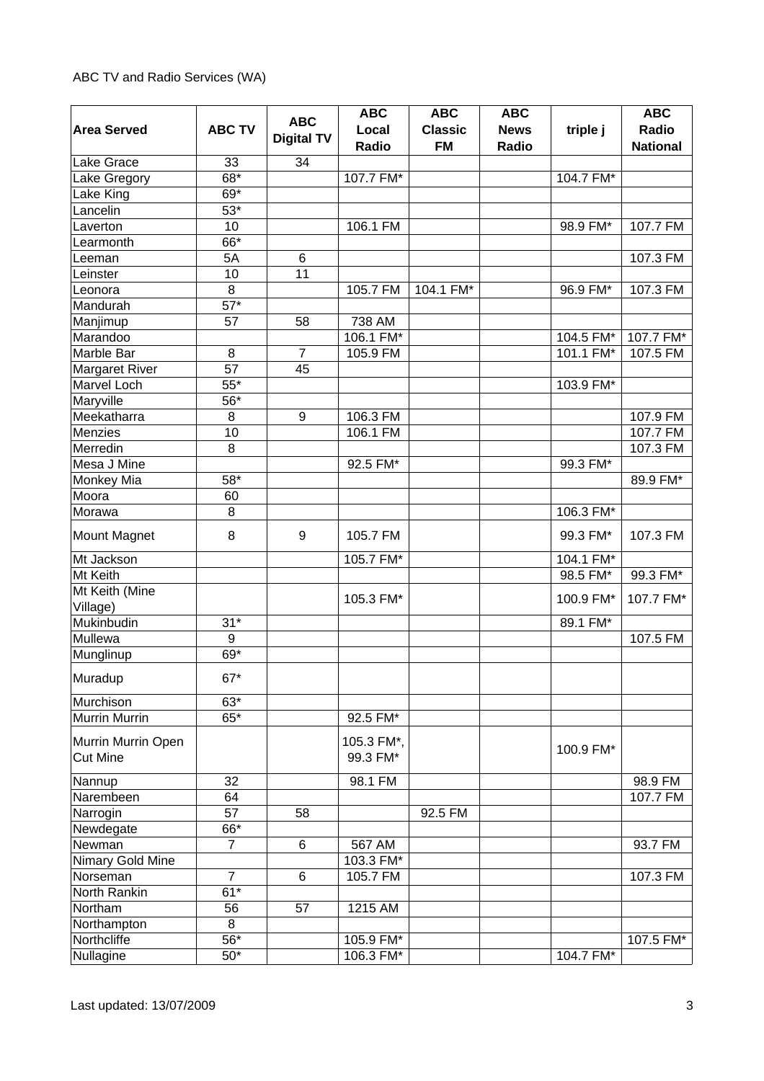| <b>Area Served</b>         | <b>ABC TV</b>     | <b>ABC</b><br><b>Digital TV</b> | <b>ABC</b><br>Local<br>Radio | <b>ABC</b><br><b>Classic</b><br><b>FM</b> | <b>ABC</b><br><b>News</b><br>Radio | triple j  | <b>ABC</b><br>Radio<br><b>National</b> |
|----------------------------|-------------------|---------------------------------|------------------------------|-------------------------------------------|------------------------------------|-----------|----------------------------------------|
| Lake Grace                 | 33                | 34                              |                              |                                           |                                    |           |                                        |
| Lake Gregory               | $68*$             |                                 | 107.7 FM*                    |                                           |                                    | 104.7 FM* |                                        |
| Lake King                  | 69*               |                                 |                              |                                           |                                    |           |                                        |
| Lancelin                   | $53*$             |                                 |                              |                                           |                                    |           |                                        |
| Laverton                   | 10                |                                 | 106.1 FM                     |                                           |                                    | 98.9 FM*  | 107.7 FM                               |
| Learmonth                  | 66*               |                                 |                              |                                           |                                    |           |                                        |
| Leeman                     | 5A                | 6                               |                              |                                           |                                    |           | 107.3 FM                               |
| Leinster                   | 10                | 11                              |                              |                                           |                                    |           |                                        |
| Leonora                    | 8                 |                                 | 105.7 FM                     | 104.1 FM*                                 |                                    | 96.9 FM*  | 107.3 FM                               |
| Mandurah                   | $57*$             |                                 |                              |                                           |                                    |           |                                        |
| Manjimup                   | 57                | 58                              | 738 AM                       |                                           |                                    |           |                                        |
| Marandoo                   |                   |                                 | 106.1 FM*                    |                                           |                                    | 104.5 FM* | 107.7 FM*                              |
| Marble Bar                 | 8                 | $\overline{7}$                  | 105.9 FM                     |                                           |                                    | 101.1 FM* | 107.5 FM                               |
| Margaret River             | 57                | 45                              |                              |                                           |                                    |           |                                        |
| <b>Marvel Loch</b>         | $\overline{55^*}$ |                                 |                              |                                           |                                    | 103.9 FM* |                                        |
| Maryville                  | 56*               |                                 |                              |                                           |                                    |           |                                        |
| Meekatharra                | 8                 | 9                               | 106.3 FM                     |                                           |                                    |           | 107.9 FM                               |
| Menzies                    | 10                |                                 | 106.1 FM                     |                                           |                                    |           | 107.7 FM                               |
| Merredin                   | 8                 |                                 |                              |                                           |                                    |           | 107.3 FM                               |
| Mesa J Mine                |                   |                                 | 92.5 FM*                     |                                           |                                    | 99.3 FM*  |                                        |
| Monkey Mia                 | 58*               |                                 |                              |                                           |                                    |           | 89.9 FM*                               |
| Moora                      | 60                |                                 |                              |                                           |                                    |           |                                        |
| Morawa                     | 8                 |                                 |                              |                                           |                                    | 106.3 FM* |                                        |
| Mount Magnet               | 8                 | 9                               | 105.7 FM                     |                                           |                                    | 99.3 FM*  | 107.3 FM                               |
| Mt Jackson                 |                   |                                 | 105.7 FM*                    |                                           |                                    | 104.1 FM* |                                        |
| Mt Keith                   |                   |                                 |                              |                                           |                                    | 98.5 FM*  | 99.3 FM*                               |
| Mt Keith (Mine<br>Village) |                   |                                 | 105.3 FM*                    |                                           |                                    | 100.9 FM* | 107.7 FM*                              |
| Mukinbudin                 | $31*$             |                                 |                              |                                           |                                    | 89.1 FM*  |                                        |
| Mullewa                    | $\boldsymbol{9}$  |                                 |                              |                                           |                                    |           | 107.5 FM                               |
| Munglinup                  | 69*               |                                 |                              |                                           |                                    |           |                                        |
| Muradup                    | $67*$             |                                 |                              |                                           |                                    |           |                                        |
| Murchison                  | $63*$             |                                 |                              |                                           |                                    |           |                                        |
| <b>Murrin Murrin</b>       | $65*$             |                                 | 92.5 FM*                     |                                           |                                    |           |                                        |
| Murrin Murrin Open         |                   |                                 | 105.3 FM*,                   |                                           |                                    | 100.9 FM* |                                        |
| <b>Cut Mine</b>            |                   |                                 | 99.3 FM*                     |                                           |                                    |           |                                        |
| Nannup                     | 32                |                                 | 98.1 FM                      |                                           |                                    |           | 98.9 FM                                |
| Narembeen                  | 64                |                                 |                              |                                           |                                    |           | 107.7 FM                               |
| Narrogin                   | 57                | 58                              |                              | 92.5 FM                                   |                                    |           |                                        |
| Newdegate                  | 66*               |                                 |                              |                                           |                                    |           |                                        |
| Newman                     | $\overline{7}$    | 6                               | 567 AM                       |                                           |                                    |           | 93.7 FM                                |
| Nimary Gold Mine           |                   |                                 | 103.3 FM*                    |                                           |                                    |           |                                        |
| Norseman                   | $\overline{7}$    | 6                               | 105.7 FM                     |                                           |                                    |           | 107.3 FM                               |
| North Rankin               | $\overline{61}^*$ |                                 |                              |                                           |                                    |           |                                        |
| Northam                    | 56                | 57                              | 1215 AM                      |                                           |                                    |           |                                        |
| Northampton                | 8                 |                                 |                              |                                           |                                    |           |                                        |
| Northcliffe                | $\overline{56}^*$ |                                 | 105.9 FM*                    |                                           |                                    |           | 107.5 FM*                              |
| Nullagine                  | $50*$             |                                 | 106.3 FM*                    |                                           |                                    | 104.7 FM* |                                        |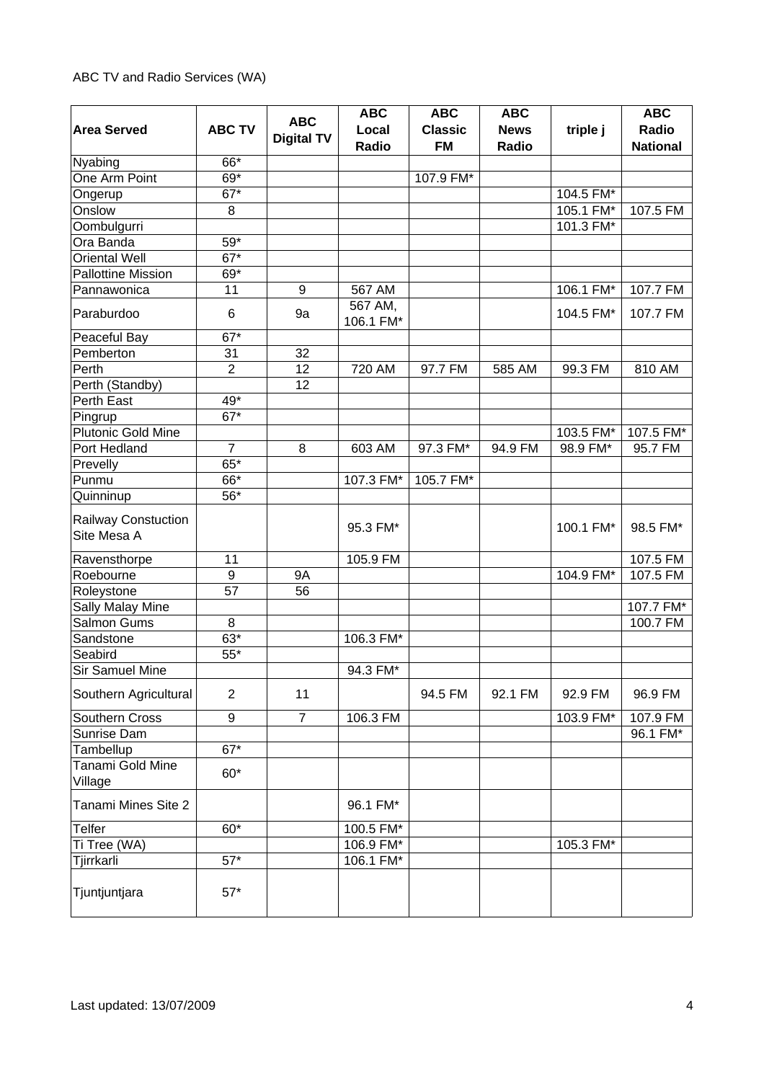|                                           |                   |                   | <b>ABC</b>           | <b>ABC</b>     | <b>ABC</b>  |           | <b>ABC</b>      |
|-------------------------------------------|-------------------|-------------------|----------------------|----------------|-------------|-----------|-----------------|
| <b>Area Served</b>                        | <b>ABC TV</b>     | <b>ABC</b>        | Local                | <b>Classic</b> | <b>News</b> | triple j  | Radio           |
|                                           |                   | <b>Digital TV</b> | Radio                | <b>FM</b>      | Radio       |           | <b>National</b> |
| Nyabing                                   | 66*               |                   |                      |                |             |           |                 |
| One Arm Point                             | 69*               |                   |                      | 107.9 FM*      |             |           |                 |
| Ongerup                                   | $67*$             |                   |                      |                |             | 104.5 FM* |                 |
| Onslow                                    | 8                 |                   |                      |                |             | 105.1 FM* | 107.5 FM        |
| Oombulgurri                               |                   |                   |                      |                |             | 101.3 FM* |                 |
| Ora Banda                                 | 59*               |                   |                      |                |             |           |                 |
| <b>Oriental Well</b>                      | $67*$             |                   |                      |                |             |           |                 |
| <b>Pallottine Mission</b>                 | 69*               |                   |                      |                |             |           |                 |
| Pannawonica                               | 11                | 9                 | 567 AM               |                |             | 106.1 FM* | 107.7 FM        |
| Paraburdoo                                | 6                 | 9a                | 567 AM,<br>106.1 FM* |                |             | 104.5 FM* | 107.7 FM        |
| Peaceful Bay                              | $67*$             |                   |                      |                |             |           |                 |
| Pemberton                                 | 31                | 32                |                      |                |             |           |                 |
| Perth                                     | $\overline{2}$    | 12                | 720 AM               | 97.7 FM        | 585 AM      | 99.3 FM   | 810 AM          |
| Perth (Standby)                           |                   | 12                |                      |                |             |           |                 |
| Perth East                                | 49*               |                   |                      |                |             |           |                 |
| Pingrup                                   | $\overline{67}^*$ |                   |                      |                |             |           |                 |
| <b>Plutonic Gold Mine</b>                 |                   |                   |                      |                |             | 103.5 FM* | 107.5 FM*       |
| Port Hedland                              | $\overline{7}$    | 8                 | 603 AM               | 97.3 FM*       | 94.9 FM     | 98.9 FM*  | 95.7 FM         |
| Prevelly                                  | $65*$             |                   |                      |                |             |           |                 |
| Punmu                                     | 66*               |                   | 107.3 FM*            | 105.7 FM*      |             |           |                 |
| Quinninup                                 | 56*               |                   |                      |                |             |           |                 |
| <b>Railway Constuction</b><br>Site Mesa A |                   |                   | 95.3 FM*             |                |             | 100.1 FM* | 98.5 FM*        |
| Ravensthorpe                              | 11                |                   | 105.9 FM             |                |             |           | 107.5 FM        |
| Roebourne                                 | 9                 | <b>9A</b>         |                      |                |             | 104.9 FM* | 107.5 FM        |
| Roleystone                                | 57                | 56                |                      |                |             |           |                 |
| Sally Malay Mine                          |                   |                   |                      |                |             |           | 107.7 FM*       |
| <b>Salmon Gums</b>                        | 8                 |                   |                      |                |             |           | 100.7 FM        |
| Sandstone                                 | $63*$             |                   | 106.3 FM*            |                |             |           |                 |
| Seabird                                   | $55*$             |                   |                      |                |             |           |                 |
| Sir Samuel Mine                           |                   |                   | 94.3 FM*             |                |             |           |                 |
| Southern Agricultural                     | $\overline{2}$    | 11                |                      | 94.5 FM        | 92.1 FM     | 92.9 FM   | 96.9 FM         |
| Southern Cross                            | 9                 | $\overline{7}$    | 106.3 FM             |                |             | 103.9 FM* | 107.9 FM        |
| Sunrise Dam                               |                   |                   |                      |                |             |           | 96.1 FM*        |
| Tambellup                                 | $\overline{67}^*$ |                   |                      |                |             |           |                 |
| Tanami Gold Mine<br>Village               | $60*$             |                   |                      |                |             |           |                 |
| Tanami Mines Site 2                       |                   |                   | 96.1 FM*             |                |             |           |                 |
| Telfer                                    | $60*$             |                   | 100.5 FM*            |                |             |           |                 |
| Ti Tree (WA)                              |                   |                   | 106.9 FM*            |                |             | 105.3 FM* |                 |
| Tjirrkarli                                | $57*$             |                   | 106.1 FM*            |                |             |           |                 |
| Tjuntjuntjara                             | $57*$             |                   |                      |                |             |           |                 |